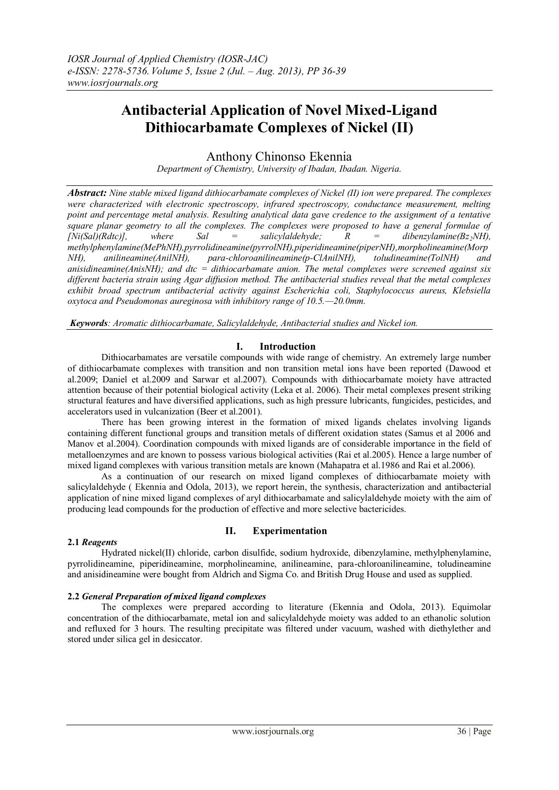# **Antibacterial Application of Novel Mixed-Ligand Dithiocarbamate Complexes of Nickel (II)**

Anthony Chinonso Ekennia

*Department of Chemistry, University of Ibadan, Ibadan. Nigeria.*

*Abstract: Nine stable mixed ligand dithiocarbamate complexes of Nickel (II) ion were prepared. The complexes were characterized with electronic spectroscopy, infrared spectroscopy, conductance measurement, melting point and percentage metal analysis. Resulting analytical data gave credence to the assignment of a tentative square planar geometry to all the complexes. The complexes were proposed to have a general formulae of*  $\frac{1}{N}$  $N_i(Sa) (Rdtc)$ , where Sal = salicylaldehyde; R = dibenzylamine(Bz<sub>2</sub> $N$ H), *methylphenylamine(MePhNH),pyrrolidineamine(pyrrolNH),piperidineamine(piperNH),morpholineamine(Morp NH), anilineamine(AnilNH), para-chloroanilineamine(p-ClAnilNH), toludineamine(TolNH) and anisidineamine(AnisNH); and dtc = dithiocarbamate anion. The metal complexes were screened against six different bacteria strain using Agar diffusion method. The antibacterial studies reveal that the metal complexes exhibit broad spectrum antibacterial activity against Escherichia coli, Staphylococcus aureus, Klebsiella oxytoca and Pseudomonas aureginosa with inhibitory range of 10.5.—20.0mm.*

*Keywords: Aromatic dithiocarbamate, Salicylaldehyde, Antibacterial studies and Nickel ion.*

## **I. Introduction**

Dithiocarbamates are versatile compounds with wide range of chemistry. An extremely large number of dithiocarbamate complexes with transition and non transition metal ions have been reported (Dawood et al.2009; Daniel et al.2009 and Sarwar et al.2007). Compounds with dithiocarbamate moiety have attracted attention because of their potential biological activity (Leka et al. 2006). Their metal complexes present striking structural features and have diversified applications, such as high pressure lubricants, fungicides, pesticides, and accelerators used in vulcanization (Beer et al.2001).

There has been growing interest in the formation of mixed ligands chelates involving ligands containing different functional groups and transition metals of different oxidation states (Samus et al 2006 and Manov et al.2004). Coordination compounds with mixed ligands are of considerable importance in the field of metalloenzymes and are known to possess various biological activities (Rai et al.2005). Hence a large number of mixed ligand complexes with various transition metals are known (Mahapatra et al.1986 and Rai et al.2006).

As a continuation of our research on mixed ligand complexes of dithiocarbamate moiety with salicylaldehyde ( Ekennia and Odola, 2013), we report herein, the synthesis, characterization and antibacterial application of nine mixed ligand complexes of aryl dithiocarbamate and salicylaldehyde moiety with the aim of producing lead compounds for the production of effective and more selective bactericides.

#### **2.1** *Reagents*

## **II. Experimentation**

Hydrated nickel(II) chloride, carbon disulfide, sodium hydroxide, dibenzylamine, methylphenylamine, pyrrolidineamine, piperidineamine, morpholineamine, anilineamine, para-chloroanilineamine, toludineamine and anisidineamine were bought from Aldrich and Sigma Co. and British Drug House and used as supplied.

## **2.2** *General Preparation of mixed ligand complexes*

The complexes were prepared according to literature (Ekennia and Odola, 2013). Equimolar concentration of the dithiocarbamate, metal ion and salicylaldehyde moiety was added to an ethanolic solution and refluxed for 3 hours. The resulting precipitate was filtered under vacuum, washed with diethylether and stored under silica gel in desiccator.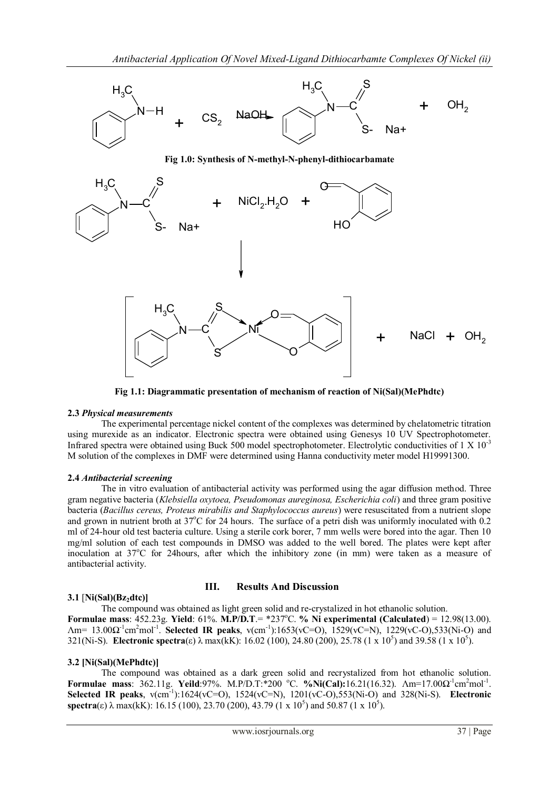

**Fig 1.1: Diagrammatic presentation of mechanism of reaction of Ni(Sal)(MePhdtc)**

## **2.3** *Physical measurements*

The experimental percentage nickel content of the complexes was determined by chelatometric titration using murexide as an indicator. Electronic spectra were obtained using Genesys 10 UV Spectrophotometer. Infrared spectra were obtained using Buck 500 model spectrophotometer. Electrolytic conductivities of  $1 \times 10^{-3}$ M solution of the complexes in DMF were determined using Hanna conductivity meter model H19991300.

## **2.4** *Antibacterial screening*

The in vitro evaluation of antibacterial activity was performed using the agar diffusion method. Three gram negative bacteria (*Klebsiella oxytoea, Pseudomonas aureginosa, Escherichia coli*) and three gram positive bacteria (*Bacillus cereus, Proteus mirabilis and Staphylococcus aureus*) were resuscitated from a nutrient slope and grown in nutrient broth at 37°C for 24 hours. The surface of a petri dish was uniformly inoculated with 0.2 ml of 24-hour old test bacteria culture. Using a sterile cork borer, 7 mm wells were bored into the agar. Then 10 mg/ml solution of each test compounds in DMSO was added to the well bored. The plates were kept after inoculation at  $37^{\circ}$ C for 24hours, after which the inhibitory zone (in mm) were taken as a measure of antibacterial activity.

## **3.1** [**Ni(Sal)(Bz2dtc)]**

## **III. Results And Discussion**

The compound was obtained as light green solid and re-crystalized in hot ethanolic solution. **Formulae mass:** 452.23g. **Yield:** 61%. **M.P/D.T**.= \*237°C. % Ni experimental (Calculated) = 12.98(13.00). Am= 13.00Ω<sup>-1</sup>cm<sup>2</sup>mol<sup>-1</sup>. **Selected IR peaks**, v(cm<sup>-1</sup>):1653(vC=O), 1529(vC=N), 1229(vC-O),533(Ni-O) and 321(Ni-S). **Electronic spectra**(ε) λ max(kK): 16.02 (100), 24.80 (200), 25.78 (1 x 10<sup>5</sup>) and 39.58 (1 x 10<sup>5</sup>).

## **3.2 [Ni(Sal)(MePhdtc)]**

The compound was obtained as a dark green solid and recrystalized from hot ethanolic solution. **Formulae mass:** 362.11g. **Yeild**:97%. M.P/D.T:\*200 °C. %Ni(Cal):16.21(16.32). Λm=17.00Ω<sup>-1</sup>cm<sup>2</sup>mol<sup>-1</sup>. Selected **IR** peaks,  $v(cm^{-1})$ :1624(vC=O), 1524(vC=N), 1201(vC-O),553(Ni-O) and 328(Ni-S). **Electronic spectra**(ε)  $\lambda$  max(kK): 16.15 (100), 23.70 (200), 43.79 (1 x 10<sup>5</sup>) and 50.87 (1 x 10<sup>5</sup>).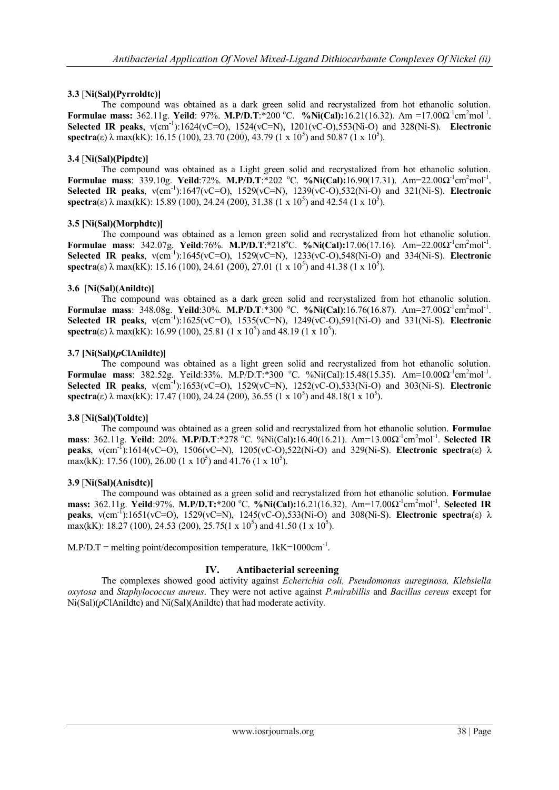## **3.3** [**Ni(Sal)(Pyrroldtc)]**

The compound was obtained as a dark green solid and recrystalized from hot ethanolic solution. **Formulae mass:**  $362.11g$ . **Yeild**: 97%. **M.P/D.T**:\*200 °C. **%Ni(Cal):**16.21(16.32).  $\Delta m = 17.00 \Omega^{-1} \text{cm}^2 \text{mol}^{-1}$ . Selected IR peaks,  $v(cm^{-1})$ :1624(vC=O), 1524(vC=N), 1201(vC-O),553(Ni-O) and 328(Ni-S). Electronic **spectra**(ε)  $\lambda$  max(kK): 16.15 (100), 23.70 (200), 43.79 (1 x 10<sup>5</sup>) and 50.87 (1 x 10<sup>5</sup>).

## **3.4** [**Ni(Sal)(Pipdtc)]**

The compound was obtained as a Light green solid and recrystalized from hot ethanolic solution. **Formulae mass:** 339.10g. Yeild:72%. M.P/D.T:\*202 °C. %Ni(Cal):16.90(17.31). Λm=22.00Ω<sup>-1</sup>cm<sup>2</sup>mol<sup>-1</sup>. Selected **IR** peaks,  $v$ (cm<sup>-1</sup>):1647(vC=O), 1529(vC=N), 1239(vC-O),532(Ni-O) and 321(Ni-S). **Electronic spectra**(ε)  $\lambda$  max(kK): 15.89 (100), 24.24 (200), 31.38 (1 x 10<sup>5</sup>) and 42.54 (1 x 10<sup>5</sup>).

## **3.5 [Ni(Sal)(Morphdtc)]**

The compound was obtained as a lemon green solid and recrystalized from hot ethanolic solution. **Formulae mass:** 342.07g. **Yeild:76%. M.P/D.T:\*218°C. %Ni(Cal):17.06(17.16).**  $\Lambda$ m=22.00 $\Omega$ <sup>-1</sup>cm<sup>2</sup>mol<sup>-1</sup>. Selected **IR peaks**, v(cm<sup>-1</sup>):1645(vC=O), 1529(vC=N), 1233(vC-O),548(Ni-O) and 334(Ni-S). **Electronic spectra**(ε)  $\lambda$  max(kK): 15.16 (100), 24.61 (200), 27.01 (1 x 10<sup>5</sup>) and 41.38 (1 x 10<sup>5</sup>).

## **3.6** [**Ni(Sal)(Anildtc)]**

The compound was obtained as a dark green solid and recrystalized from hot ethanolic solution. **Formulae mass:** 348.08g. Yeild:30%. M.P/D.T:\*300 °C. %Ni(Cal):16.76(16.87). Λm=27.00Ω<sup>-1</sup>cm<sup>2</sup>mol<sup>-1</sup>. Selected **IR** peaks,  $v$ (cm<sup>-1</sup>):1625(vC=O), 1535(vC=N), 1249(vC-O),591(Ni-O) and 331(Ni-S). **Electronic spectra**(ε)  $\lambda$  max(kK): 16.99 (100), 25.81 (1 x 10<sup>5</sup>) and 48.19 (1 x 10<sup>5</sup>).

## **3.7 [Ni(Sal)(***p***ClAnildtc)]**

The compound was obtained as a light green solid and recrystalized from hot ethanolic solution. **Formulae mass**: 382.52g. Yeild:33%. M.P/D.T:\*300 °C. %Ni(Cal):15.48(15.35). Λm=10.00Ω<sup>-1</sup>cm<sup>2</sup>mol<sup>-1</sup>. Selected IR peaks, v(cm<sup>-1</sup>):1653(vC=O), 1529(vC=N), 1252(vC-O),533(Ni-O) and 303(Ni-S). Electronic **spectra**(ε)  $\lambda$  max(kK): 17.47 (100), 24.24 (200), 36.55 (1 x 10<sup>5</sup>) and 48.18(1 x 10<sup>5</sup>).

## **3.8** [**Ni(Sal)(Toldtc)]**

The compound was obtained as a green solid and recrystalized from hot ethanolic solution. **Formulae mass**: 362.11g. **Yeild**: 20%. **M.P/D.T**:\*278 °C. %Ni(Cal):16.40(16.21). Λm=13.00Ω<sup>-1</sup>cm<sup>2</sup>mol<sup>-1</sup>. Selected IR **peaks**,  $v$ (cm<sup>-T</sup>):1614(vC=O), 1506(vC=N), 1205(vC-O),522(Ni-O) and 329(Ni-S). **Electronic spectra**(ε) λ max(kK): 17.56 (100), 26.00 (1 x 10<sup>5</sup>) and 41.76 (1 x 10<sup>5</sup>).

## **3.9** [**Ni(Sal)(Anisdtc)]**

The compound was obtained as a green solid and recrystalized from hot ethanolic solution. **Formulae mass:** 362.11g. **Yeild**:97%. **M.P/D.T:**\*200 °C. %Ni(Cal):16.21(16.32). Λm=17.00Ω<sup>-1</sup>cm<sup>2</sup>mol<sup>-1</sup>. Selected IR **peaks**,  $v$ (cm<sup>-1</sup>):1651(vC=O), 1529(vC=N), 1245(vC-O),533(Ni-O) and 308(Ni-S). **Electronic spectra**(ε) λ max(kK): 18.27 (100), 24.53 (200), 25.75(1 x 10<sup>5</sup>) and 41.50 (1 x 10<sup>5</sup>).

 $M.P/D.T$  = melting point/decomposition temperature,  $1$ kK=1000cm<sup>-1</sup>.

## **IV. Antibacterial screening**

The complexes showed good activity against *Echerichia coli, Pseudomonas aureginosa, Klebsiella oxytosa* and *Staphylococcus aureus*. They were not active against *P.mirabillis* and *Bacillus cereus* except for Ni(Sal)(*p*ClAnildtc) and Ni(Sal)(Anildtc) that had moderate activity.